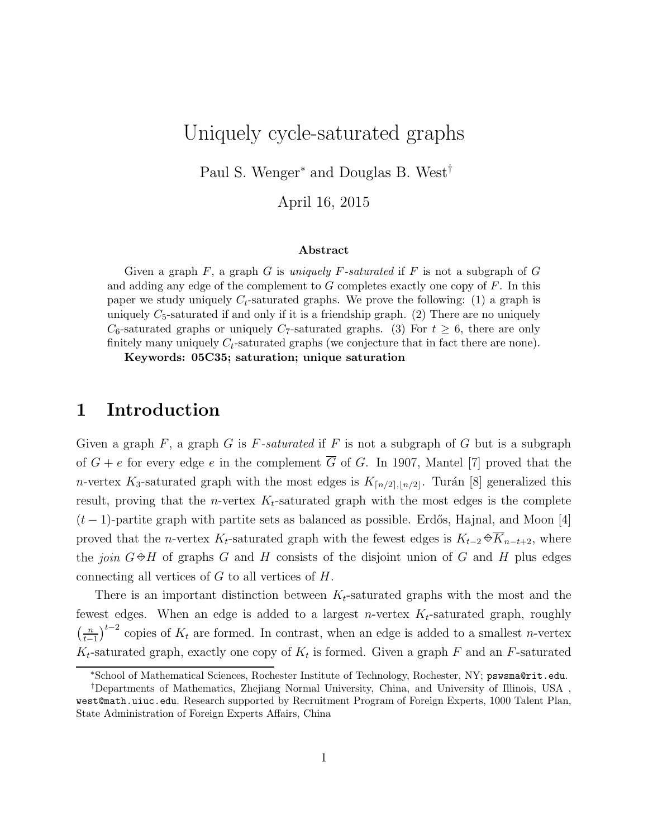# Uniquely cycle-saturated graphs

Paul S. Wenger<sup>∗</sup> and Douglas B. West†

April 16, 2015

#### Abstract

Given a graph  $F$ , a graph  $G$  is uniquely  $F$ -saturated if  $F$  is not a subgraph of  $G$ and adding any edge of the complement to  $G$  completes exactly one copy of  $F$ . In this paper we study uniquely  $C_t$ -saturated graphs. We prove the following: (1) a graph is uniquely  $C_5$ -saturated if and only if it is a friendship graph. (2) There are no uniquely  $C_6$ -saturated graphs or uniquely  $C_7$ -saturated graphs. (3) For  $t \geq 6$ , there are only finitely many uniquely  $C_t$ -saturated graphs (we conjecture that in fact there are none).

Keywords: 05C35; saturation; unique saturation

### 1 Introduction

Given a graph  $F$ , a graph  $G$  is  $F$ -saturated if  $F$  is not a subgraph of  $G$  but is a subgraph of  $G + e$  for every edge e in the complement  $\overline{G}$  of G. In 1907, Mantel [7] proved that the n-vertex K<sub>3</sub>-saturated graph with the most edges is  $K_{\lceil n/2 \rceil, \lfloor n/2 \rfloor}$ . Turán [8] generalized this result, proving that the *n*-vertex  $K_t$ -saturated graph with the most edges is the complete  $(t-1)$ -partite graph with partite sets as balanced as possible. Erdős, Hajnal, and Moon [4] proved that the n-vertex K<sub>t</sub>-saturated graph with the fewest edges is  $K_{t-2} \oplus \overline{K}_{n-t+2}$ , where the *join*  $G \oplus H$  of graphs G and H consists of the disjoint union of G and H plus edges connecting all vertices of  $G$  to all vertices of  $H$ .

There is an important distinction between  $K_t$ -saturated graphs with the most and the fewest edges. When an edge is added to a largest *n*-vertex  $K_t$ -saturated graph, roughly  $\left(\frac{n}{t}\right)$  $\frac{n}{t-1}$ <sup>t−2</sup> copies of  $K_t$  are formed. In contrast, when an edge is added to a smallest *n*-vertex  $K_t$ -saturated graph, exactly one copy of  $K_t$  is formed. Given a graph F and an F-saturated

<sup>∗</sup>School of Mathematical Sciences, Rochester Institute of Technology, Rochester, NY; pswsma@rit.edu.

<sup>†</sup>Departments of Mathematics, Zhejiang Normal University, China, and University of Illinois, USA , west@math.uiuc.edu. Research supported by Recruitment Program of Foreign Experts, 1000 Talent Plan, State Administration of Foreign Experts Affairs, China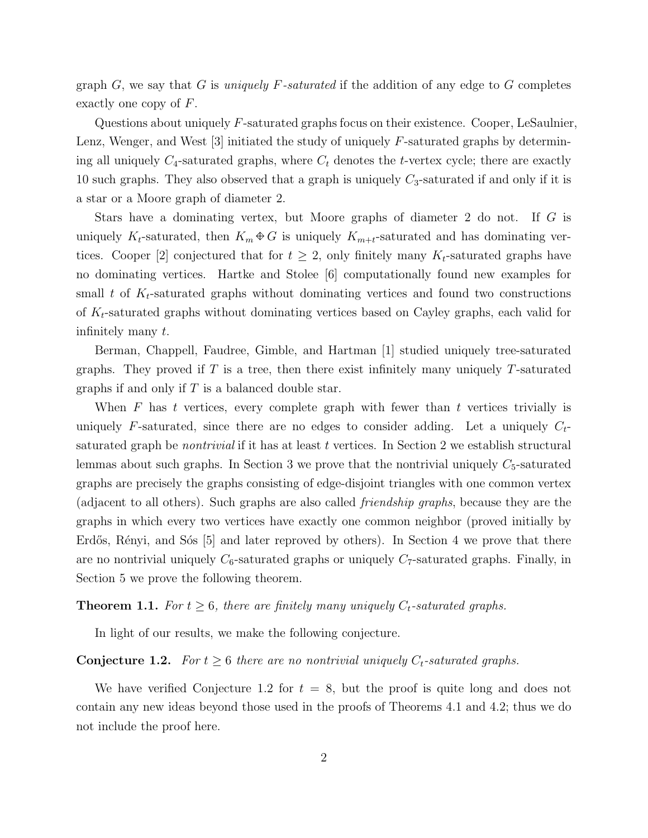graph G, we say that G is uniquely F-saturated if the addition of any edge to G completes exactly one copy of F.

Questions about uniquely F-saturated graphs focus on their existence. Cooper, LeSaulnier, Lenz, Wenger, and West  $|3|$  initiated the study of uniquely F-saturated graphs by determining all uniquely  $C_4$ -saturated graphs, where  $C_t$  denotes the t-vertex cycle; there are exactly 10 such graphs. They also observed that a graph is uniquely  $C_3$ -saturated if and only if it is a star or a Moore graph of diameter 2.

Stars have a dominating vertex, but Moore graphs of diameter 2 do not. If G is uniquely K<sub>t</sub>-saturated, then  $K_m \oplus G$  is uniquely  $K_{m+t}$ -saturated and has dominating vertices. Cooper [2] conjectured that for  $t \geq 2$ , only finitely many  $K_t$ -saturated graphs have no dominating vertices. Hartke and Stolee [6] computationally found new examples for small t of  $K_t$ -saturated graphs without dominating vertices and found two constructions of  $K_t$ -saturated graphs without dominating vertices based on Cayley graphs, each valid for infinitely many t.

Berman, Chappell, Faudree, Gimble, and Hartman [1] studied uniquely tree-saturated graphs. They proved if  $T$  is a tree, then there exist infinitely many uniquely  $T$ -saturated graphs if and only if  $T$  is a balanced double star.

When  $F$  has  $t$  vertices, every complete graph with fewer than  $t$  vertices trivially is uniquely F-saturated, since there are no edges to consider adding. Let a uniquely  $C_t$ saturated graph be *nontrivial* if it has at least t vertices. In Section 2 we establish structural lemmas about such graphs. In Section 3 we prove that the nontrivial uniquely  $C_5$ -saturated graphs are precisely the graphs consisting of edge-disjoint triangles with one common vertex (adjacent to all others). Such graphs are also called friendship graphs, because they are the graphs in which every two vertices have exactly one common neighbor (proved initially by Erdős, Rényi, and Sós  $[5]$  and later reproved by others). In Section 4 we prove that there are no nontrivial uniquely  $C_6$ -saturated graphs or uniquely  $C_7$ -saturated graphs. Finally, in Section 5 we prove the following theorem.

**Theorem 1.1.** For  $t \geq 6$ , there are finitely many uniquely  $C_t$ -saturated graphs.

In light of our results, we make the following conjecture.

#### **Conjecture 1.2.** For  $t \geq 6$  there are no nontrivial uniquely  $C_t$ -saturated graphs.

We have verified Conjecture 1.2 for  $t = 8$ , but the proof is quite long and does not contain any new ideas beyond those used in the proofs of Theorems 4.1 and 4.2; thus we do not include the proof here.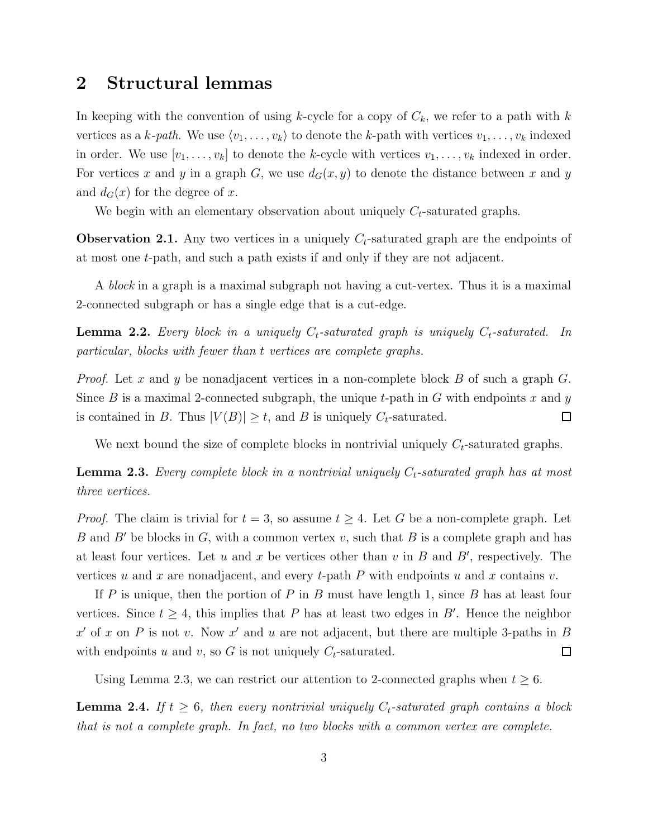### 2 Structural lemmas

In keeping with the convention of using k-cycle for a copy of  $C_k$ , we refer to a path with k vertices as a k-path. We use  $\langle v_1, \ldots, v_k \rangle$  to denote the k-path with vertices  $v_1, \ldots, v_k$  indexed in order. We use  $[v_1, \ldots, v_k]$  to denote the k-cycle with vertices  $v_1, \ldots, v_k$  indexed in order. For vertices x and y in a graph G, we use  $d_G(x, y)$  to denote the distance between x and y and  $d_G(x)$  for the degree of x.

We begin with an elementary observation about uniquely  $C_t$ -saturated graphs.

**Observation 2.1.** Any two vertices in a uniquely  $C_t$ -saturated graph are the endpoints of at most one t-path, and such a path exists if and only if they are not adjacent.

A block in a graph is a maximal subgraph not having a cut-vertex. Thus it is a maximal 2-connected subgraph or has a single edge that is a cut-edge.

**Lemma 2.2.** Every block in a uniquely  $C_t$ -saturated graph is uniquely  $C_t$ -saturated. In particular, blocks with fewer than t vertices are complete graphs.

*Proof.* Let x and y be nonadjacent vertices in a non-complete block B of such a graph  $G$ . Since B is a maximal 2-connected subgraph, the unique t-path in G with endpoints x and y is contained in B. Thus  $|V(B)| \geq t$ , and B is uniquely  $C_t$ -saturated.  $\Box$ 

We next bound the size of complete blocks in nontrivial uniquely  $C_t$ -saturated graphs.

**Lemma 2.3.** Every complete block in a nontrivial uniquely  $C_t$ -saturated graph has at most three vertices.

*Proof.* The claim is trivial for  $t = 3$ , so assume  $t \geq 4$ . Let G be a non-complete graph. Let B and B' be blocks in G, with a common vertex v, such that B is a complete graph and has at least four vertices. Let  $u$  and  $x$  be vertices other than  $v$  in  $B$  and  $B'$ , respectively. The vertices u and x are nonadjacent, and every t-path  $P$  with endpoints u and x contains v.

If P is unique, then the portion of P in B must have length 1, since B has at least four vertices. Since  $t \geq 4$ , this implies that P has at least two edges in B'. Hence the neighbor  $x'$  of x on P is not v. Now x' and u are not adjacent, but there are multiple 3-paths in B with endpoints u and v, so G is not uniquely  $C_t$ -saturated.  $\Box$ 

Using Lemma 2.3, we can restrict our attention to 2-connected graphs when  $t \geq 6$ .

**Lemma 2.4.** If  $t \geq 6$ , then every nontrivial uniquely  $C_t$ -saturated graph contains a block that is not a complete graph. In fact, no two blocks with a common vertex are complete.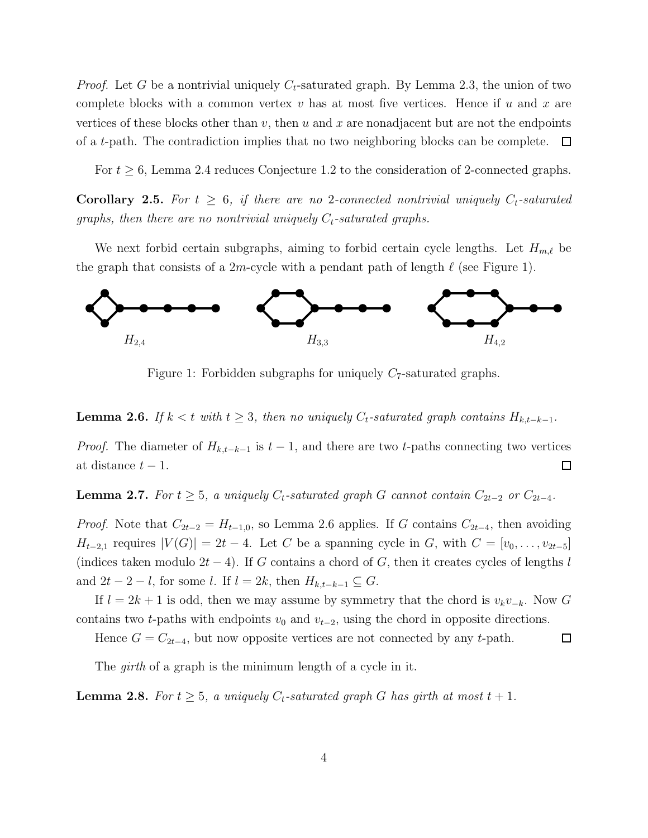*Proof.* Let G be a nontrivial uniquely  $C_t$ -saturated graph. By Lemma 2.3, the union of two complete blocks with a common vertex  $v$  has at most five vertices. Hence if  $u$  and  $x$  are vertices of these blocks other than  $v$ , then  $u$  and  $x$  are nonadjacent but are not the endpoints of a t-path. The contradiction implies that no two neighboring blocks can be complete. ப

For  $t \geq 6$ , Lemma 2.4 reduces Conjecture 1.2 to the consideration of 2-connected graphs.

**Corollary 2.5.** For  $t \geq 6$ , if there are no 2-connected nontrivial uniquely  $C_t$ -saturated graphs, then there are no nontrivial uniquely  $C_t$ -saturated graphs.

We next forbid certain subgraphs, aiming to forbid certain cycle lengths. Let  $H_{m,\ell}$  be the graph that consists of a  $2m$ -cycle with a pendant path of length  $\ell$  (see Figure 1).



Figure 1: Forbidden subgraphs for uniquely  $C_7$ -saturated graphs.

**Lemma 2.6.** If  $k < t$  with  $t \geq 3$ , then no uniquely  $C_t$ -saturated graph contains  $H_{k,t-k-1}$ .

*Proof.* The diameter of  $H_{k,t-k-1}$  is  $t-1$ , and there are two t-paths connecting two vertices  $\Box$ at distance  $t-1$ .

**Lemma 2.7.** For  $t \geq 5$ , a uniquely  $C_t$ -saturated graph G cannot contain  $C_{2t-2}$  or  $C_{2t-4}$ .

*Proof.* Note that  $C_{2t-2} = H_{t-1,0}$ , so Lemma 2.6 applies. If G contains  $C_{2t-4}$ , then avoiding  $H_{t-2,1}$  requires  $|V(G)| = 2t - 4$ . Let C be a spanning cycle in G, with  $C = [v_0, \ldots, v_{2t-5}]$ (indices taken modulo  $2t - 4$ ). If G contains a chord of G, then it creates cycles of lengths l and  $2t - 2 - l$ , for some l. If  $l = 2k$ , then  $H_{k,t-k-1} \subseteq G$ .

If  $l = 2k + 1$  is odd, then we may assume by symmetry that the chord is  $v_kv_{-k}$ . Now G contains two t-paths with endpoints  $v_0$  and  $v_{t-2}$ , using the chord in opposite directions.

Hence  $G = C_{2t-4}$ , but now opposite vertices are not connected by any t-path.  $\Box$ 

The *girth* of a graph is the minimum length of a cycle in it.

**Lemma 2.8.** For  $t \geq 5$ , a uniquely  $C_t$ -saturated graph G has girth at most  $t + 1$ .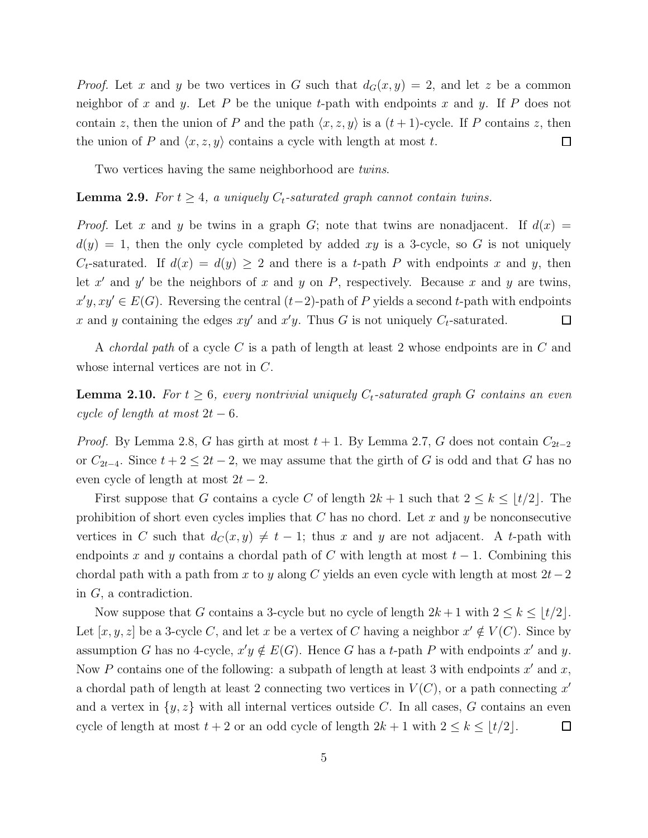*Proof.* Let x and y be two vertices in G such that  $d_G(x, y) = 2$ , and let z be a common neighbor of x and y. Let P be the unique t-path with endpoints x and y. If P does not contain z, then the union of P and the path  $\langle x, z, y \rangle$  is a  $(t + 1)$ -cycle. If P contains z, then the union of P and  $\langle x, z, y \rangle$  contains a cycle with length at most t.  $\Box$ 

Two vertices having the same neighborhood are *twins*.

### **Lemma 2.9.** For  $t \geq 4$ , a uniquely  $C_t$ -saturated graph cannot contain twins.

*Proof.* Let x and y be twins in a graph G; note that twins are nonadjacent. If  $d(x) =$  $d(y) = 1$ , then the only cycle completed by added xy is a 3-cycle, so G is not uniquely  $C_t$ -saturated. If  $d(x) = d(y) \geq 2$  and there is a t-path P with endpoints x and y, then let  $x'$  and  $y'$  be the neighbors of x and y on P, respectively. Because x and y are twins,  $x'y, xy' \in E(G)$ . Reversing the central  $(t-2)$ -path of P yields a second t-path with endpoints x and y containing the edges  $xy'$  and  $x'y$ . Thus G is not uniquely  $C_t$ -saturated.  $\Box$ 

A *chordal path* of a cycle C is a path of length at least 2 whose endpoints are in C and whose internal vertices are not in C.

**Lemma 2.10.** For  $t \geq 6$ , every nontrivial uniquely  $C_t$ -saturated graph G contains an even cycle of length at most  $2t - 6$ .

*Proof.* By Lemma 2.8, G has girth at most  $t + 1$ . By Lemma 2.7, G does not contain  $C_{2t-2}$ or  $C_{2t-4}$ . Since  $t+2 \leq 2t-2$ , we may assume that the girth of G is odd and that G has no even cycle of length at most  $2t - 2$ .

First suppose that G contains a cycle C of length  $2k + 1$  such that  $2 \leq k \leq \lfloor t/2 \rfloor$ . The prohibition of short even cycles implies that  $C$  has no chord. Let  $x$  and  $y$  be nonconsecutive vertices in C such that  $d_C(x, y) \neq t - 1$ ; thus x and y are not adjacent. A t-path with endpoints x and y contains a chordal path of C with length at most  $t-1$ . Combining this chordal path with a path from x to y along C yields an even cycle with length at most  $2t-2$ in G, a contradiction.

Now suppose that G contains a 3-cycle but no cycle of length  $2k + 1$  with  $2 \leq k \leq \lfloor t/2 \rfloor$ . Let  $[x, y, z]$  be a 3-cycle C, and let x be a vertex of C having a neighbor  $x' \notin V(C)$ . Since by assumption G has no 4-cycle,  $x'y \notin E(G)$ . Hence G has a t-path P with endpoints  $x'$  and y. Now P contains one of the following: a subpath of length at least 3 with endpoints  $x'$  and  $x$ , a chordal path of length at least 2 connecting two vertices in  $V(C)$ , or a path connecting x' and a vertex in  $\{y, z\}$  with all internal vertices outside C. In all cases, G contains an even cycle of length at most  $t + 2$  or an odd cycle of length  $2k + 1$  with  $2 \leq k \leq \lfloor t/2 \rfloor$ .  $\Box$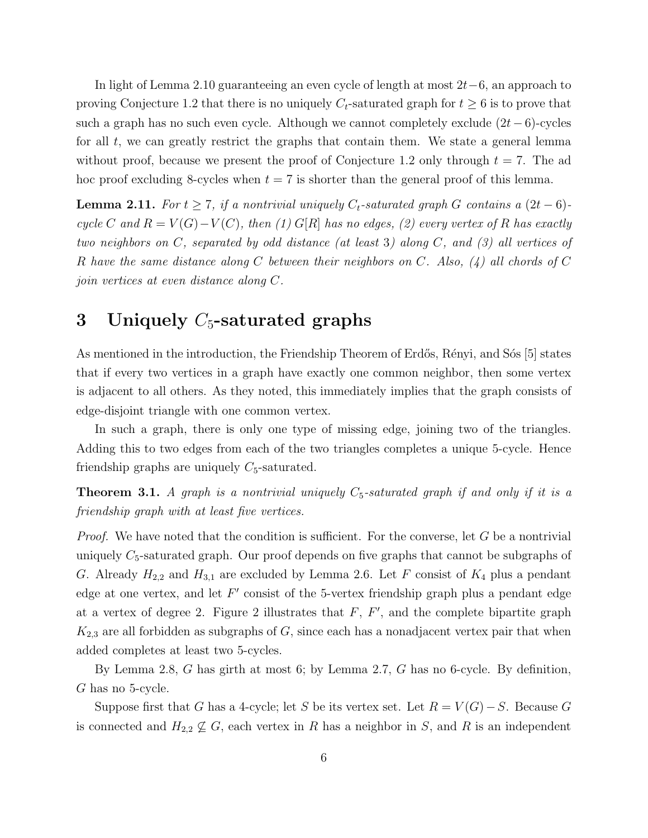In light of Lemma 2.10 guaranteeing an even cycle of length at most 2t−6, an approach to proving Conjecture 1.2 that there is no uniquely  $C_t$ -saturated graph for  $t \geq 6$  is to prove that such a graph has no such even cycle. Although we cannot completely exclude  $(2t - 6)$ -cycles for all  $t$ , we can greatly restrict the graphs that contain them. We state a general lemma without proof, because we present the proof of Conjecture 1.2 only through  $t = 7$ . The ad hoc proof excluding 8-cycles when  $t = 7$  is shorter than the general proof of this lemma.

**Lemma 2.11.** For  $t \geq 7$ , if a nontrivial uniquely  $C_t$ -saturated graph G contains a  $(2t - 6)$ cycle C and  $R = V(G) - V(C)$ , then (1) G[R] has no edges, (2) every vertex of R has exactly two neighbors on C, separated by odd distance (at least 3) along C, and (3) all vertices of R have the same distance along C between their neighbors on C. Also, (4) all chords of C join vertices at even distance along C.

### 3 Uniquely  $C_5$ -saturated graphs

As mentioned in the introduction, the Friendship Theorem of Erdős, Rényi, and Sós [5] states that if every two vertices in a graph have exactly one common neighbor, then some vertex is adjacent to all others. As they noted, this immediately implies that the graph consists of edge-disjoint triangle with one common vertex.

In such a graph, there is only one type of missing edge, joining two of the triangles. Adding this to two edges from each of the two triangles completes a unique 5-cycle. Hence friendship graphs are uniquely  $C_5$ -saturated.

**Theorem 3.1.** A graph is a nontrivial uniquely  $C_5$ -saturated graph if and only if it is a friendship graph with at least five vertices.

*Proof.* We have noted that the condition is sufficient. For the converse, let  $G$  be a nontrivial uniquely  $C_5$ -saturated graph. Our proof depends on five graphs that cannot be subgraphs of G. Already  $H_{2,2}$  and  $H_{3,1}$  are excluded by Lemma 2.6. Let F consist of  $K_4$  plus a pendant edge at one vertex, and let  $F'$  consist of the 5-vertex friendship graph plus a pendant edge at a vertex of degree 2. Figure 2 illustrates that  $F, F',$  and the complete bipartite graph  $K_{2,3}$  are all forbidden as subgraphs of G, since each has a nonadjacent vertex pair that when added completes at least two 5-cycles.

By Lemma 2.8, G has girth at most 6; by Lemma 2.7, G has no 6-cycle. By definition, G has no 5-cycle.

Suppose first that G has a 4-cycle; let S be its vertex set. Let  $R = V(G) - S$ . Because G is connected and  $H_{2,2} \nsubseteq G$ , each vertex in R has a neighbor in S, and R is an independent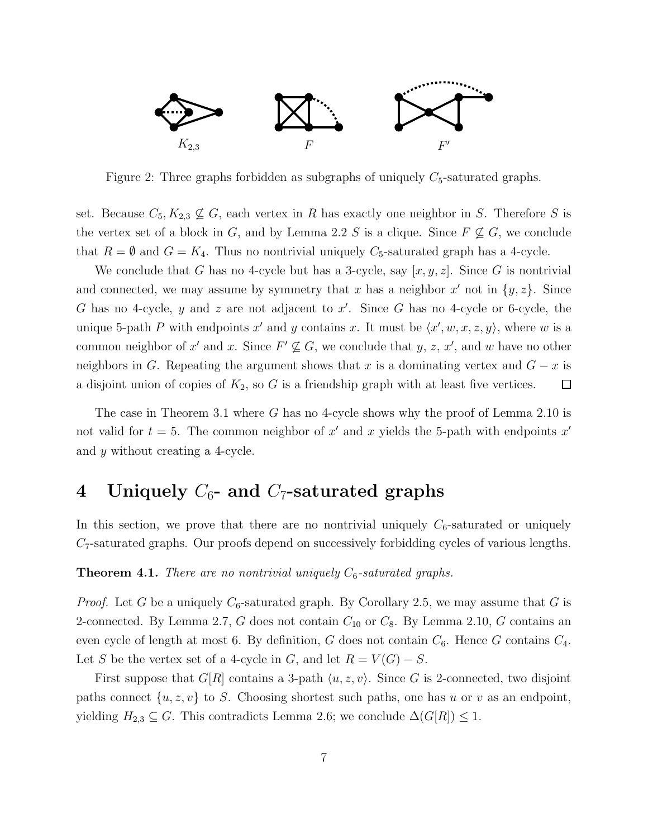

Figure 2: Three graphs forbidden as subgraphs of uniquely  $C_5$ -saturated graphs.

set. Because  $C_5, K_{2,3} \nsubseteq G$ , each vertex in R has exactly one neighbor in S. Therefore S is the vertex set of a block in G, and by Lemma 2.2 S is a clique. Since  $F \nsubseteq G$ , we conclude that  $R = \emptyset$  and  $G = K_4$ . Thus no nontrivial uniquely  $C_5$ -saturated graph has a 4-cycle.

We conclude that G has no 4-cycle but has a 3-cycle, say  $[x, y, z]$ . Since G is nontrivial and connected, we may assume by symmetry that x has a neighbor  $x'$  not in  $\{y, z\}$ . Since G has no 4-cycle, y and z are not adjacent to  $x'$ . Since G has no 4-cycle or 6-cycle, the unique 5-path P with endpoints x' and y contains x. It must be  $\langle x', w, x, z, y \rangle$ , where w is a common neighbor of x' and x. Since  $F' \not\subseteq G$ , we conclude that y, z, x', and w have no other neighbors in G. Repeating the argument shows that x is a dominating vertex and  $G - x$  is a disjoint union of copies of  $K_2$ , so G is a friendship graph with at least five vertices.  $\Box$ 

The case in Theorem 3.1 where G has no 4-cycle shows why the proof of Lemma 2.10 is not valid for  $t = 5$ . The common neighbor of x' and x yields the 5-path with endpoints x' and y without creating a 4-cycle.

## 4 Uniquely  $C_6$ - and  $C_7$ -saturated graphs

In this section, we prove that there are no nontrivial uniquely  $C_6$ -saturated or uniquely C7-saturated graphs. Our proofs depend on successively forbidding cycles of various lengths.

#### **Theorem 4.1.** There are no nontrivial uniquely  $C_6$ -saturated graphs.

*Proof.* Let G be a uniquely  $C_6$ -saturated graph. By Corollary 2.5, we may assume that G is 2-connected. By Lemma 2.7, G does not contain  $C_{10}$  or  $C_8$ . By Lemma 2.10, G contains an even cycle of length at most 6. By definition, G does not contain  $C_6$ . Hence G contains  $C_4$ . Let S be the vertex set of a 4-cycle in G, and let  $R = V(G) - S$ .

First suppose that  $G[R]$  contains a 3-path  $\langle u, z, v \rangle$ . Since G is 2-connected, two disjoint paths connect  $\{u, z, v\}$  to S. Choosing shortest such paths, one has u or v as an endpoint, yielding  $H_{2,3} \subseteq G$ . This contradicts Lemma 2.6; we conclude  $\Delta(G[R]) \leq 1$ .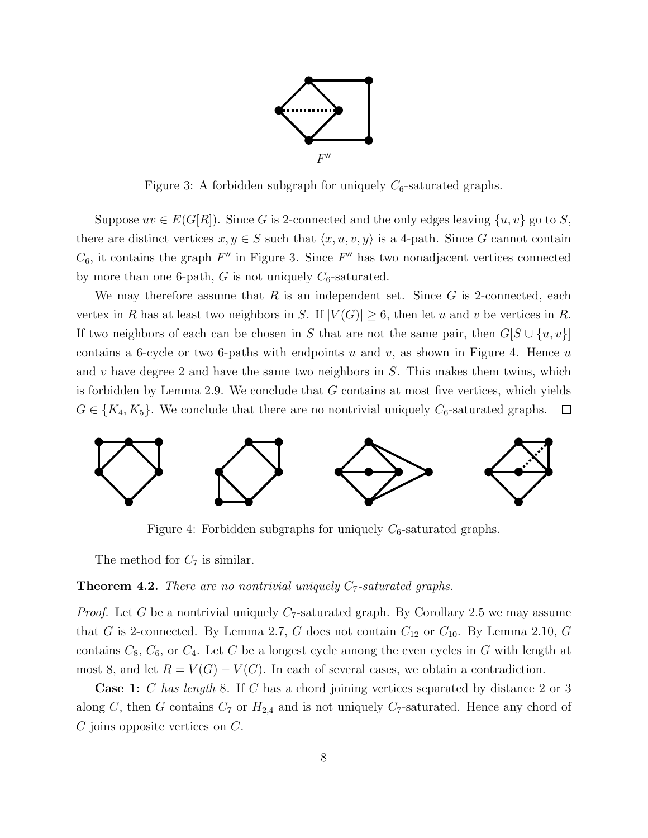

Figure 3: A forbidden subgraph for uniquely  $C_6$ -saturated graphs.

Suppose  $uv \in E(G[R])$ . Since G is 2-connected and the only edges leaving  $\{u, v\}$  go to S, there are distinct vertices  $x, y \in S$  such that  $\langle x, u, v, y \rangle$  is a 4-path. Since G cannot contain  $C_6$ , it contains the graph  $F''$  in Figure 3. Since  $F''$  has two nonadjacent vertices connected by more than one 6-path, G is not uniquely  $C_6$ -saturated.

We may therefore assume that R is an independent set. Since  $G$  is 2-connected, each vertex in R has at least two neighbors in S. If  $|V(G)| \geq 6$ , then let u and v be vertices in R. If two neighbors of each can be chosen in S that are not the same pair, then  $G[S \cup \{u, v\}]$ contains a 6-cycle or two 6-paths with endpoints u and v, as shown in Figure 4. Hence u and v have degree 2 and have the same two neighbors in  $S$ . This makes them twins, which is forbidden by Lemma 2.9. We conclude that  $G$  contains at most five vertices, which yields  $G \in \{K_4, K_5\}$ . We conclude that there are no nontrivial uniquely  $C_6$ -saturated graphs.  $\Box$ 



Figure 4: Forbidden subgraphs for uniquely  $C_6$ -saturated graphs.

The method for  $C_7$  is similar.

#### **Theorem 4.2.** There are no nontrivial uniquely  $C_7$ -saturated graphs.

*Proof.* Let G be a nontrivial uniquely  $C_7$ -saturated graph. By Corollary 2.5 we may assume that G is 2-connected. By Lemma 2.7, G does not contain  $C_{12}$  or  $C_{10}$ . By Lemma 2.10, G contains  $C_8$ ,  $C_6$ , or  $C_4$ . Let C be a longest cycle among the even cycles in G with length at most 8, and let  $R = V(G) - V(C)$ . In each of several cases, we obtain a contradiction.

**Case 1:** C has length 8. If C has a chord joining vertices separated by distance 2 or 3 along C, then G contains  $C_7$  or  $H_{2,4}$  and is not uniquely  $C_7$ -saturated. Hence any chord of  $C$  joins opposite vertices on  $C$ .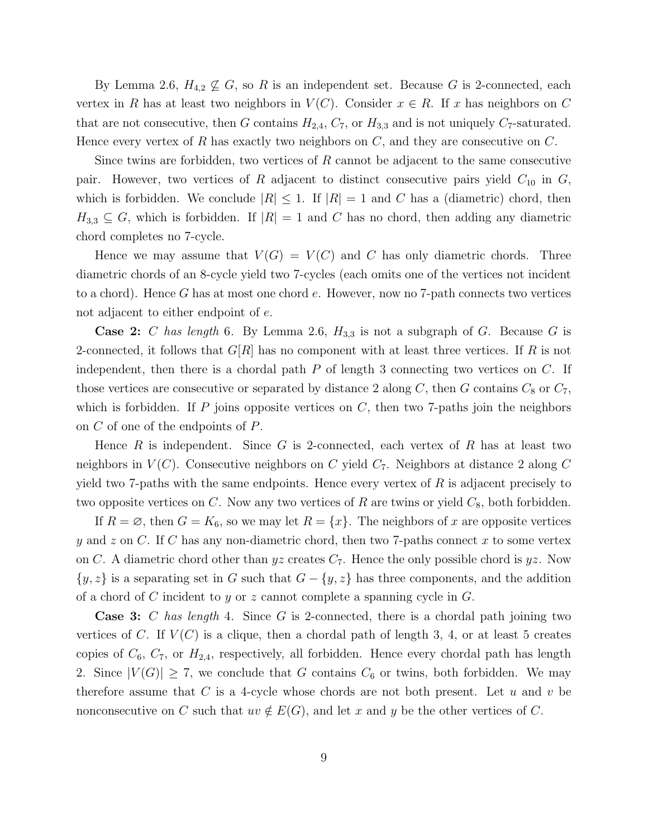By Lemma 2.6,  $H_{4,2} \nsubseteq G$ , so R is an independent set. Because G is 2-connected, each vertex in R has at least two neighbors in  $V(C)$ . Consider  $x \in R$ . If x has neighbors on C that are not consecutive, then G contains  $H_{2,4}$ ,  $C_7$ , or  $H_{3,3}$  and is not uniquely  $C_7$ -saturated. Hence every vertex of R has exactly two neighbors on  $C$ , and they are consecutive on  $C$ .

Since twins are forbidden, two vertices of  $R$  cannot be adjacent to the same consecutive pair. However, two vertices of R adjacent to distinct consecutive pairs yield  $C_{10}$  in  $G$ , which is forbidden. We conclude  $|R| \leq 1$ . If  $|R| = 1$  and C has a (diametric) chord, then  $H_{3,3} \subseteq G$ , which is forbidden. If  $|R| = 1$  and C has no chord, then adding any diametric chord completes no 7-cycle.

Hence we may assume that  $V(G) = V(C)$  and C has only diametric chords. Three diametric chords of an 8-cycle yield two 7-cycles (each omits one of the vertices not incident to a chord). Hence G has at most one chord e. However, now no 7-path connects two vertices not adjacent to either endpoint of e.

**Case 2:** C has length 6. By Lemma 2.6,  $H_{3,3}$  is not a subgraph of G. Because G is 2-connected, it follows that  $G[R]$  has no component with at least three vertices. If R is not independent, then there is a chordal path  $P$  of length 3 connecting two vertices on  $C$ . If those vertices are consecutive or separated by distance 2 along C, then G contains  $C_8$  or  $C_7$ , which is forbidden. If  $P$  joins opposite vertices on  $C$ , then two 7-paths join the neighbors on C of one of the endpoints of P.

Hence  $R$  is independent. Since  $G$  is 2-connected, each vertex of  $R$  has at least two neighbors in  $V(C)$ . Consecutive neighbors on C yield  $C_7$ . Neighbors at distance 2 along C yield two 7-paths with the same endpoints. Hence every vertex of  $R$  is adjacent precisely to two opposite vertices on C. Now any two vertices of R are twins or yield  $C_8$ , both forbidden.

If  $R = \emptyset$ , then  $G = K_6$ , so we may let  $R = \{x\}$ . The neighbors of x are opposite vertices y and z on C. If C has any non-diametric chord, then two 7-paths connect x to some vertex on C. A diametric chord other than yz creates  $C_7$ . Hence the only possible chord is yz. Now  $\{y, z\}$  is a separating set in G such that  $G - \{y, z\}$  has three components, and the addition of a chord of C incident to y or z cannot complete a spanning cycle in  $G$ .

**Case 3:** C has length 4. Since G is 2-connected, there is a chordal path joining two vertices of C. If  $V(C)$  is a clique, then a chordal path of length 3, 4, or at least 5 creates copies of  $C_6$ ,  $C_7$ , or  $H_{2,4}$ , respectively, all forbidden. Hence every chordal path has length 2. Since  $|V(G)| \ge 7$ , we conclude that G contains  $C_6$  or twins, both forbidden. We may therefore assume that  $C$  is a 4-cycle whose chords are not both present. Let  $u$  and  $v$  be nonconsecutive on C such that  $uv \notin E(G)$ , and let x and y be the other vertices of C.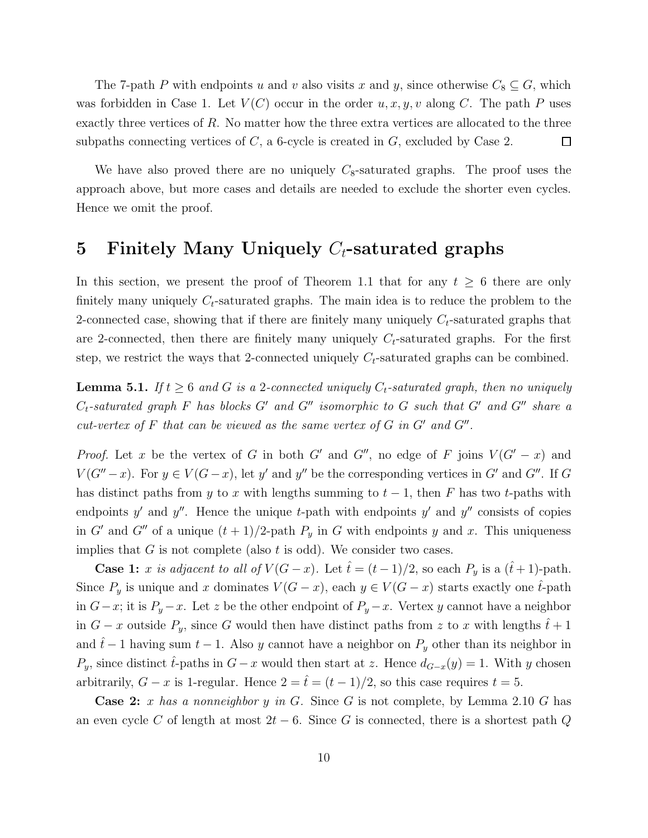The 7-path P with endpoints u and v also visits x and y, since otherwise  $C_8 \subseteq G$ , which was forbidden in Case 1. Let  $V(C)$  occur in the order  $u, x, y, v$  along C. The path P uses exactly three vertices of  $R$ . No matter how the three extra vertices are allocated to the three subpaths connecting vertices of  $C$ , a 6-cycle is created in  $G$ , excluded by Case 2.  $\Box$ 

We have also proved there are no uniquely  $C_8$ -saturated graphs. The proof uses the approach above, but more cases and details are needed to exclude the shorter even cycles. Hence we omit the proof.

### 5 Finitely Many Uniquely  $C_t$ -saturated graphs

In this section, we present the proof of Theorem 1.1 that for any  $t \geq 6$  there are only finitely many uniquely  $C_t$ -saturated graphs. The main idea is to reduce the problem to the 2-connected case, showing that if there are finitely many uniquely  $C_t$ -saturated graphs that are 2-connected, then there are finitely many uniquely  $C_t$ -saturated graphs. For the first step, we restrict the ways that 2-connected uniquely  $C_t$ -saturated graphs can be combined.

**Lemma 5.1.** If  $t \geq 6$  and G is a 2-connected uniquely  $C_t$ -saturated graph, then no uniquely  $C_t$ -saturated graph F has blocks G' and G'' isomorphic to G such that G' and G'' share a cut-vertex of  $F$  that can be viewed as the same vertex of  $G$  in  $G'$  and  $G''$ .

*Proof.* Let x be the vertex of G in both G' and G'', no edge of F joins  $V(G'-x)$  and  $V(G''-x)$ . For  $y \in V(G-x)$ , let y' and y'' be the corresponding vertices in G' and G". If G has distinct paths from y to x with lengths summing to  $t-1$ , then F has two t-paths with endpoints y' and y''. Hence the unique t-path with endpoints y' and y'' consists of copies in G' and G'' of a unique  $(t + 1)/2$ -path  $P_y$  in G with endpoints y and x. This uniqueness implies that  $G$  is not complete (also  $t$  is odd). We consider two cases.

**Case 1:** x is adjacent to all of  $V(G - x)$ . Let  $\hat{t} = (t - 1)/2$ , so each  $P_y$  is a  $(\hat{t} + 1)$ -path. Since  $P_y$  is unique and x dominates  $V(G-x)$ , each  $y \in V(G-x)$  starts exactly one  $\hat{t}$ -path in  $G-x$ ; it is  $P_y-x$ . Let z be the other endpoint of  $P_y-x$ . Vertex y cannot have a neighbor in  $G - x$  outside  $P_y$ , since G would then have distinct paths from z to x with lengths  $\hat{t} + 1$ and  $\hat{t}$ −1 having sum  $t$  − 1. Also y cannot have a neighbor on  $P_y$  other than its neighbor in  $P_y$ , since distinct  $\hat{t}$ -paths in  $G - x$  would then start at z. Hence  $d_{G-x}(y) = 1$ . With y chosen arbitrarily,  $G - x$  is 1-regular. Hence  $2 = \hat{t} = (t - 1)/2$ , so this case requires  $t = 5$ .

**Case 2:** x has a nonneighbor y in G. Since G is not complete, by Lemma 2.10 G has an even cycle C of length at most  $2t - 6$ . Since G is connected, there is a shortest path Q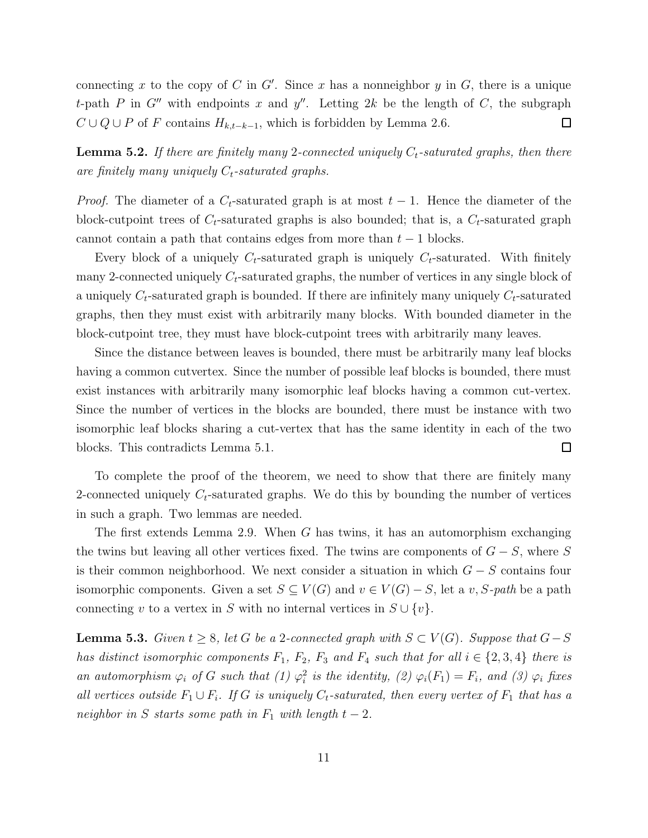connecting x to the copy of C in G'. Since x has a nonneighbor y in G, there is a unique t-path P in G'' with endpoints x and y''. Letting 2k be the length of C, the subgraph  $C \cup Q \cup P$  of F contains  $H_{k,t-k-1}$ , which is forbidden by Lemma 2.6.  $\Box$ 

**Lemma 5.2.** If there are finitely many 2-connected uniquely  $C_t$ -saturated graphs, then there are finitely many uniquely  $C_t$ -saturated graphs.

*Proof.* The diameter of a  $C_t$ -saturated graph is at most  $t-1$ . Hence the diameter of the block-cutpoint trees of  $C_t$ -saturated graphs is also bounded; that is, a  $C_t$ -saturated graph cannot contain a path that contains edges from more than  $t - 1$  blocks.

Every block of a uniquely  $C_t$ -saturated graph is uniquely  $C_t$ -saturated. With finitely many 2-connected uniquely  $C_t$ -saturated graphs, the number of vertices in any single block of a uniquely  $C_t$ -saturated graph is bounded. If there are infinitely many uniquely  $C_t$ -saturated graphs, then they must exist with arbitrarily many blocks. With bounded diameter in the block-cutpoint tree, they must have block-cutpoint trees with arbitrarily many leaves.

Since the distance between leaves is bounded, there must be arbitrarily many leaf blocks having a common cutvertex. Since the number of possible leaf blocks is bounded, there must exist instances with arbitrarily many isomorphic leaf blocks having a common cut-vertex. Since the number of vertices in the blocks are bounded, there must be instance with two isomorphic leaf blocks sharing a cut-vertex that has the same identity in each of the two blocks. This contradicts Lemma 5.1.  $\Box$ 

To complete the proof of the theorem, we need to show that there are finitely many 2-connected uniquely  $C_t$ -saturated graphs. We do this by bounding the number of vertices in such a graph. Two lemmas are needed.

The first extends Lemma 2.9. When G has twins, it has an automorphism exchanging the twins but leaving all other vertices fixed. The twins are components of  $G - S$ , where S is their common neighborhood. We next consider a situation in which  $G - S$  contains four isomorphic components. Given a set  $S \subseteq V(G)$  and  $v \in V(G) - S$ , let a v, S-path be a path connecting v to a vertex in S with no internal vertices in  $S \cup \{v\}$ .

**Lemma 5.3.** Given  $t \geq 8$ , let G be a 2-connected graph with  $S \subset V(G)$ . Suppose that  $G-S$ has distinct isomorphic components  $F_1$ ,  $F_2$ ,  $F_3$  and  $F_4$  such that for all  $i \in \{2,3,4\}$  there is an automorphism  $\varphi_i$  of G such that (1)  $\varphi_i^2$  is the identity, (2)  $\varphi_i(F_1) = F_i$ , and (3)  $\varphi_i$  fixes all vertices outside  $F_1 \cup F_i$ . If G is uniquely  $C_t$ -saturated, then every vertex of  $F_1$  that has a neighbor in S starts some path in  $F_1$  with length  $t-2$ .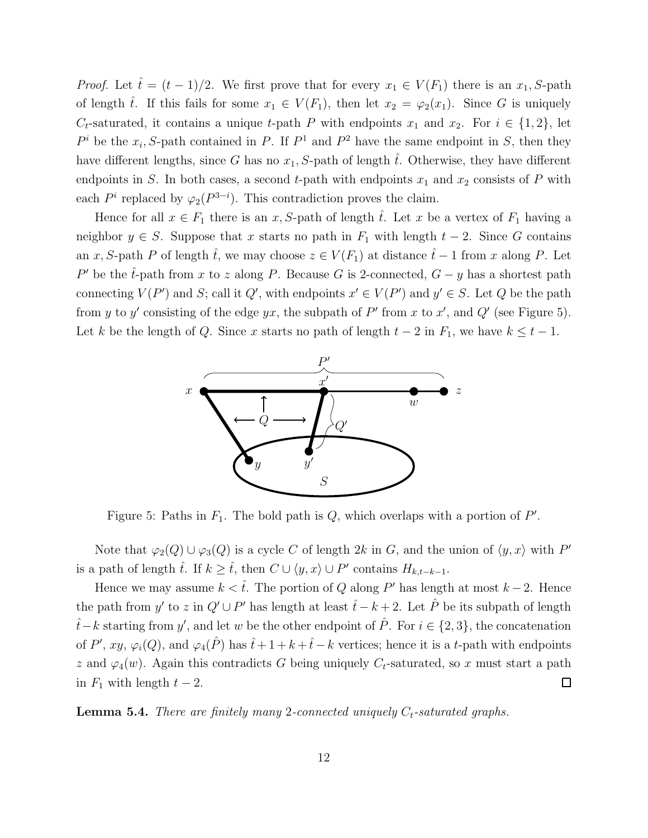*Proof.* Let  $\hat{t} = (t-1)/2$ . We first prove that for every  $x_1 \in V(F_1)$  there is an  $x_1, S$ -path of length  $\hat{t}$ . If this fails for some  $x_1 \in V(F_1)$ , then let  $x_2 = \varphi_2(x_1)$ . Since G is uniquely  $C_t$ -saturated, it contains a unique t-path P with endpoints  $x_1$  and  $x_2$ . For  $i \in \{1,2\}$ , let  $P^i$  be the  $x_i$ , S-path contained in P. If  $P^1$  and  $P^2$  have the same endpoint in S, then they have different lengths, since G has no  $x_1$ , S-path of length  $\hat{t}$ . Otherwise, they have different endpoints in S. In both cases, a second t-path with endpoints  $x_1$  and  $x_2$  consists of P with each  $P^i$  replaced by  $\varphi_2(P^{3-i})$ . This contradiction proves the claim.

Hence for all  $x \in F_1$  there is an x, S-path of length  $\hat{t}$ . Let x be a vertex of  $F_1$  having a neighbor  $y \in S$ . Suppose that x starts no path in  $F_1$  with length  $t - 2$ . Since G contains an x, S-path P of length  $\hat{t}$ , we may choose  $z \in V(F_1)$  at distance  $\hat{t}-1$  from x along P. Let P' be the  $\hat{t}$ -path from x to z along P. Because G is 2-connected,  $G - y$  has a shortest path connecting  $V(P')$  and S; call it Q', with endpoints  $x' \in V(P')$  and  $y' \in S$ . Let Q be the path from y to y' consisting of the edge yx, the subpath of P' from x to x', and Q' (see Figure 5). Let k be the length of Q. Since x starts no path of length  $t - 2$  in  $F_1$ , we have  $k \leq t - 1$ .



Figure 5: Paths in  $F_1$ . The bold path is  $Q$ , which overlaps with a portion of  $P'$ .

Note that  $\varphi_2(Q) \cup \varphi_3(Q)$  is a cycle C of length 2k in G, and the union of  $\langle y, x \rangle$  with P' is a path of length  $\hat{t}$ . If  $k \geq \hat{t}$ , then  $C \cup \langle y, x \rangle \cup P'$  contains  $H_{k,t-k-1}$ .

Hence we may assume  $k < \hat{t}$ . The portion of Q along P' has length at most  $k-2$ . Hence the path from y' to z in  $Q' \cup P'$  has length at least  $\hat{t} - k + 2$ . Let  $\hat{P}$  be its subpath of length  $\hat{t}$ −k starting from y', and let w be the other endpoint of  $\hat{P}$ . For  $i \in \{2,3\}$ , the concatenation of P', xy,  $\varphi_i(Q)$ , and  $\varphi_4(\hat{P})$  has  $\hat{t}+1+k+\hat{t}-k$  vertices; hence it is a t-path with endpoints z and  $\varphi_4(w)$ . Again this contradicts G being uniquely  $C_t$ -saturated, so x must start a path in  $F_1$  with length  $t-2$ .  $\Box$ 

**Lemma 5.4.** There are finitely many 2-connected uniquely  $C_t$ -saturated graphs.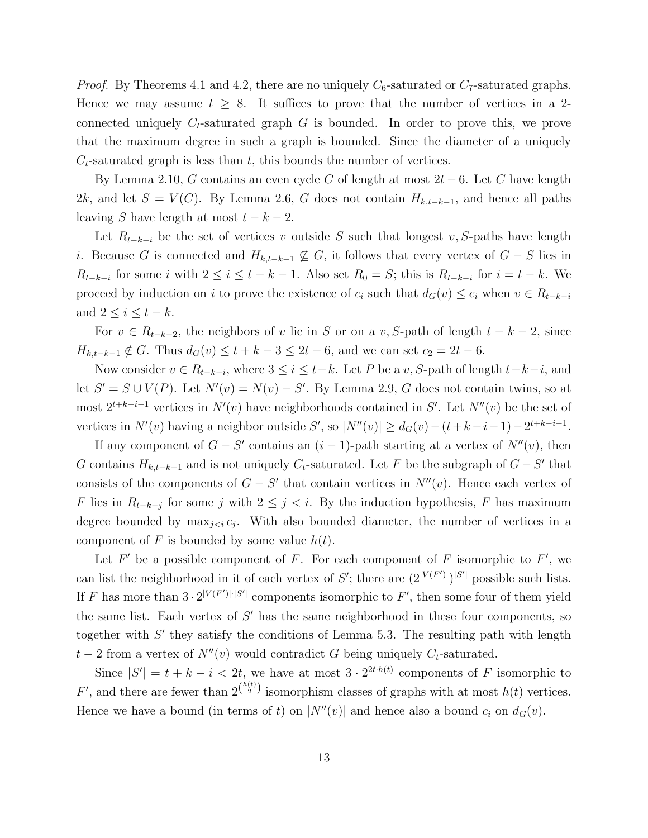*Proof.* By Theorems 4.1 and 4.2, there are no uniquely  $C_6$ -saturated or  $C_7$ -saturated graphs. Hence we may assume  $t \geq 8$ . It suffices to prove that the number of vertices in a 2connected uniquely  $C_t$ -saturated graph G is bounded. In order to prove this, we prove that the maximum degree in such a graph is bounded. Since the diameter of a uniquely  $C_t$ -saturated graph is less than t, this bounds the number of vertices.

By Lemma 2.10, G contains an even cycle C of length at most  $2t-6$ . Let C have length 2k, and let  $S = V(C)$ . By Lemma 2.6, G does not contain  $H_{k,t-k-1}$ , and hence all paths leaving S have length at most  $t - k - 2$ .

Let  $R_{t-k-i}$  be the set of vertices v outside S such that longest v, S-paths have length i. Because G is connected and  $H_{k,t-k-1} \nsubseteq G$ , it follows that every vertex of  $G - S$  lies in  $R_{t-k-i}$  for some i with  $2 \leq i \leq t-k-1$ . Also set  $R_0 = S$ ; this is  $R_{t-k-i}$  for  $i = t-k$ . We proceed by induction on i to prove the existence of  $c_i$  such that  $d_G(v) \leq c_i$  when  $v \in R_{t-k-i}$ and  $2 \leq i \leq t - k$ .

For  $v \in R_{t-k-2}$ , the neighbors of v lie in S or on a v, S-path of length  $t - k - 2$ , since  $H_{k,t-k-1} \notin G$ . Thus  $d_G(v) \le t+k-3 \le 2t-6$ , and we can set  $c_2 = 2t-6$ .

Now consider  $v \in R_{t-k-i}$ , where  $3 \leq i \leq t-k$ . Let P be a v, S-path of length  $t-k-i$ , and let  $S' = S \cup V(P)$ . Let  $N'(v) = N(v) - S'$ . By Lemma 2.9, G does not contain twins, so at most  $2^{t+k-i-1}$  vertices in  $N'(v)$  have neighborhoods contained in S'. Let  $N''(v)$  be the set of vertices in  $N'(v)$  having a neighbor outside S', so  $|N''(v)| \geq d_G(v) - (t + k - i - 1) - 2^{t+k-i-1}$ .

If any component of  $G - S'$  contains an  $(i - 1)$ -path starting at a vertex of  $N''(v)$ , then G contains  $H_{k,t-k-1}$  and is not uniquely  $C_t$ -saturated. Let F be the subgraph of  $G-S'$  that consists of the components of  $G - S'$  that contain vertices in  $N''(v)$ . Hence each vertex of F lies in  $R_{t-k-j}$  for some j with  $2 \leq j < i$ . By the induction hypothesis, F has maximum degree bounded by  $\max_{j \leq i} c_j$ . With also bounded diameter, the number of vertices in a component of F is bounded by some value  $h(t)$ .

Let  $F'$  be a possible component of F. For each component of F isomorphic to  $F'$ , we can list the neighborhood in it of each vertex of S'; there are  $(2^{|V(F')|})^{|S'|}$  possible such lists. If F has more than  $3 \cdot 2^{|V(F')| \cdot |S'|}$  components isomorphic to F', then some four of them yield the same list. Each vertex of  $S'$  has the same neighborhood in these four components, so together with  $S'$  they satisfy the conditions of Lemma 5.3. The resulting path with length  $t-2$  from a vertex of  $N''(v)$  would contradict G being uniquely  $C_t$ -saturated.

Since  $|S'| = t + k - i < 2t$ , we have at most  $3 \cdot 2^{2t \cdot h(t)}$  components of F isomorphic to F', and there are fewer than  $2^{h(t)}$  isomorphism classes of graphs with at most  $h(t)$  vertices. Hence we have a bound (in terms of t) on  $|N''(v)|$  and hence also a bound  $c_i$  on  $d_G(v)$ .